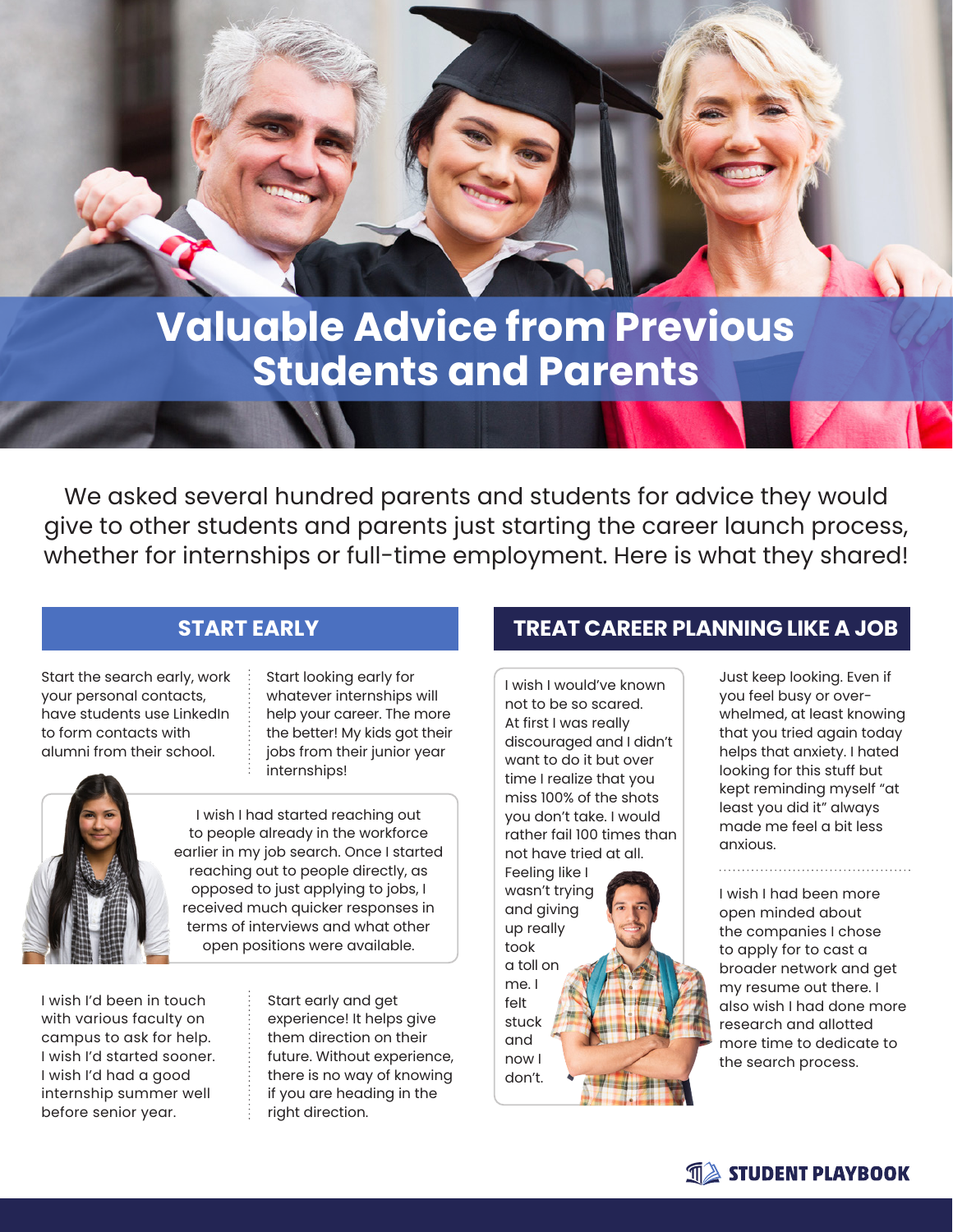# **Valuable Advice from Previous Students and Parents**

We asked several hundred parents and students for advice they would give to other students and parents just starting the career launch process, whether for internships or full-time employment. Here is what they shared!

Start the search early, work your personal contacts, have students use LinkedIn to form contacts with alumni from their school.

Start looking early for whatever internships will help your career. The more the better! My kids got their jobs from their junior year internships!



I wish I had started reaching out to people already in the workforce earlier in my job search. Once I started reaching out to people directly, as opposed to just applying to jobs, I received much quicker responses in terms of interviews and what other open positions were available.

I wish I'd been in touch with various faculty on campus to ask for help. I wish I'd started sooner. I wish I'd had a good internship summer well before senior year.

Start early and get experience! It helps give them direction on their future. Without experience, there is no way of knowing if you are heading in the right direction.

#### **START EARLY TREAT CAREER PLANNING LIKE A JOB**

I wish I would've known not to be so scared. At first I was really discouraged and I didn't want to do it but over time I realize that you miss 100% of the shots you don't take. I would rather fail 100 times than not have tried at all. Feeling like I wasn't trying and giving up really took a toll on me. I felt stuck and now I don't.

Just keep looking. Even if you feel busy or overwhelmed, at least knowing that you tried again today helps that anxiety. I hated looking for this stuff but kept reminding myself "at least you did it" always made me feel a bit less anxious.

I wish I had been more open minded about the companies I chose to apply for to cast a broader network and get my resume out there. I also wish I had done more research and allotted more time to dedicate to the search process.